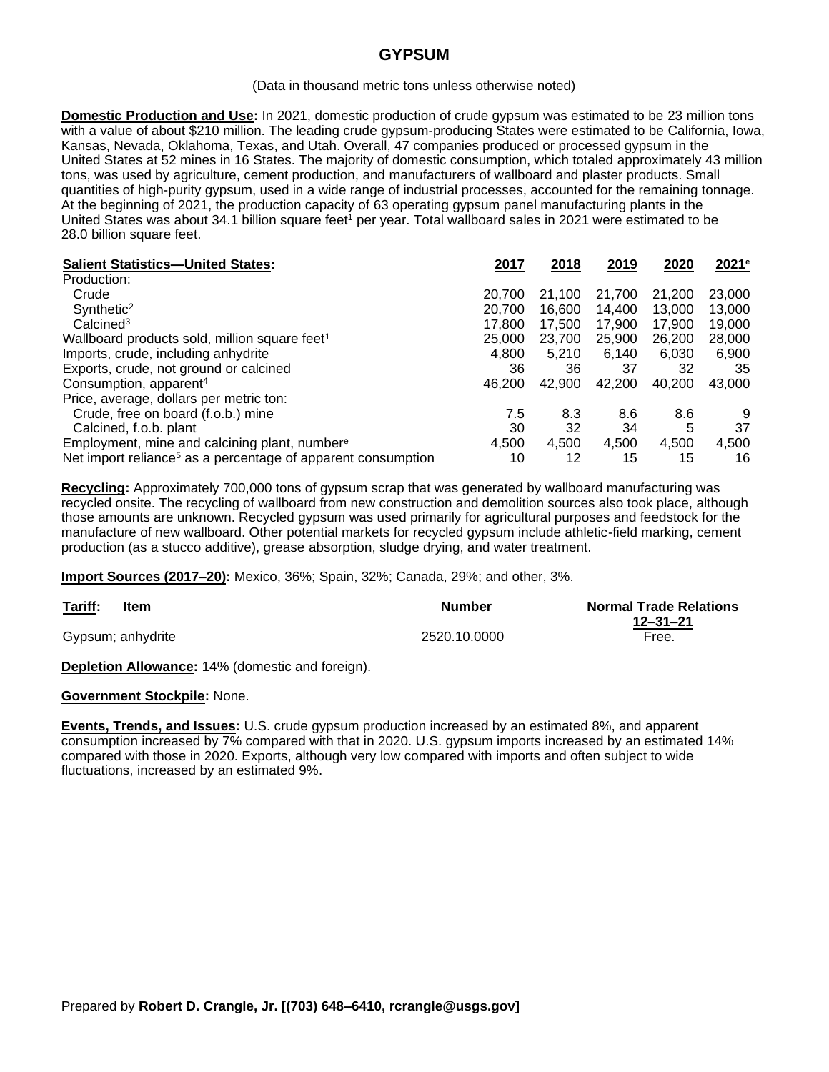# **GYPSUM**

#### (Data in thousand metric tons unless otherwise noted)

**Domestic Production and Use:** In 2021, domestic production of crude gypsum was estimated to be 23 million tons with a value of about \$210 million. The leading crude gypsum-producing States were estimated to be California, Iowa, Kansas, Nevada, Oklahoma, Texas, and Utah. Overall, 47 companies produced or processed gypsum in the United States at 52 mines in 16 States. The majority of domestic consumption, which totaled approximately 43 million tons, was used by agriculture, cement production, and manufacturers of wallboard and plaster products. Small quantities of high-purity gypsum, used in a wide range of industrial processes, accounted for the remaining tonnage. At the beginning of 2021, the production capacity of 63 operating gypsum panel manufacturing plants in the United States was about 34.1 billion square feet<sup>1</sup> per year. Total wallboard sales in 2021 were estimated to be 28.0 billion square feet.

| <b>Salient Statistics-United States:</b>                                 | 2017   | 2018   | 2019   | 2020   | 2021e  |
|--------------------------------------------------------------------------|--------|--------|--------|--------|--------|
| Production:                                                              |        |        |        |        |        |
| Crude                                                                    | 20.700 | 21.100 | 21,700 | 21.200 | 23,000 |
| Synthetic <sup>2</sup>                                                   | 20,700 | 16,600 | 14.400 | 13,000 | 13,000 |
| Calcined <sup>3</sup>                                                    | 17.800 | 17.500 | 17.900 | 17.900 | 19,000 |
| Wallboard products sold, million square feet <sup>1</sup>                | 25,000 | 23,700 | 25,900 | 26,200 | 28,000 |
| Imports, crude, including anhydrite                                      | 4,800  | 5.210  | 6.140  | 6,030  | 6,900  |
| Exports, crude, not ground or calcined                                   | 36     | 36     | 37     | 32     | 35     |
| Consumption, apparent <sup>4</sup>                                       | 46.200 | 42,900 | 42,200 | 40,200 | 43,000 |
| Price, average, dollars per metric ton:                                  |        |        |        |        |        |
| Crude, free on board (f.o.b.) mine                                       | 7.5    | 8.3    | 8.6    | 8.6    | 9      |
| Calcined, f.o.b. plant                                                   | 30     | 32     | 34     | 5      | 37     |
| Employment, mine and calcining plant, number <sup>e</sup>                | 4.500  | 4,500  | 4,500  | 4,500  | 4,500  |
| Net import reliance <sup>5</sup> as a percentage of apparent consumption | 10     | 12     | 15     | 15     | 16     |

**Recycling:** Approximately 700,000 tons of gypsum scrap that was generated by wallboard manufacturing was recycled onsite. The recycling of wallboard from new construction and demolition sources also took place, although those amounts are unknown. Recycled gypsum was used primarily for agricultural purposes and feedstock for the manufacture of new wallboard. Other potential markets for recycled gypsum include athletic-field marking, cement production (as a stucco additive), grease absorption, sludge drying, and water treatment.

**Import Sources (2017–20):** Mexico, 36%; Spain, 32%; Canada, 29%; and other, 3%.

| Tariff:<br>Item<br>$\sim$ $\sim$ $\sim$ $\sim$ $\sim$ $\sim$ $\sim$ | <b>Number</b> | <b>Normal Trade Relations</b> |
|---------------------------------------------------------------------|---------------|-------------------------------|
|                                                                     |               | $12 - 31 - 21$                |
| Gypsum; anhydrite                                                   | 2520.10.0000  | Free.                         |

**Depletion Allowance:** 14% (domestic and foreign).

## **Government Stockpile:** None.

**Events, Trends, and Issues:** U.S. crude gypsum production increased by an estimated 8%, and apparent consumption increased by 7% compared with that in 2020. U.S. gypsum imports increased by an estimated 14% compared with those in 2020. Exports, although very low compared with imports and often subject to wide fluctuations, increased by an estimated 9%.